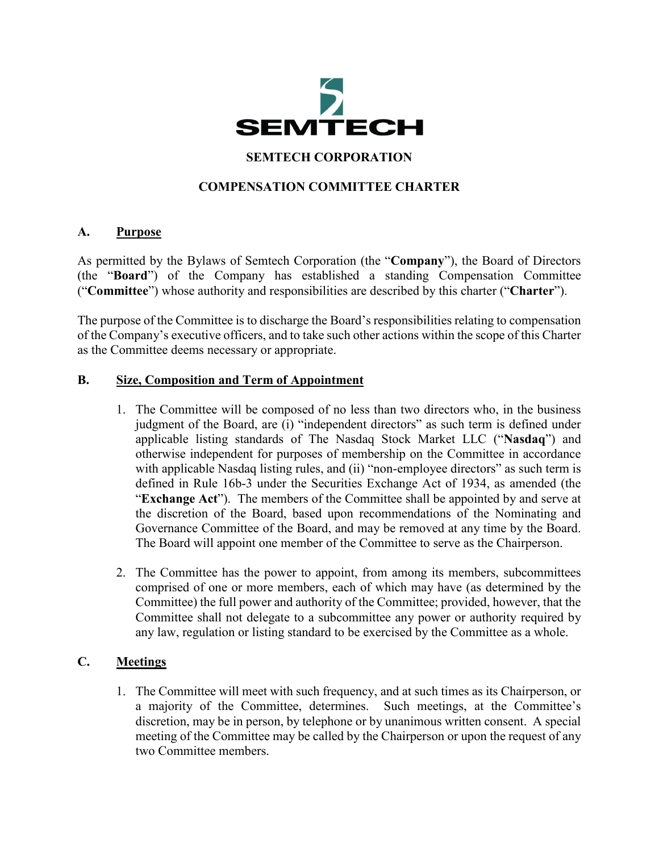

# **SEMTECH CORPORATION**

## **COMPENSATION COMMITTEE CHARTER**

#### **A. Purpose**

As permitted by the Bylaws of Semtech Corporation (the "**Company**"), the Board of Directors (the "**Board**") of the Company has established a standing Compensation Committee ("**Committee**") whose authority and responsibilities are described by this charter ("**Charter**").

The purpose of the Committee is to discharge the Board's responsibilities relating to compensation of the Company's executive officers, and to take such other actions within the scope of this Charter as the Committee deems necessary or appropriate.

#### **B. Size, Composition and Term of Appointment**

- 1. The Committee will be composed of no less than two directors who, in the business judgment of the Board, are (i) "independent directors" as such term is defined under applicable listing standards of The Nasdaq Stock Market LLC ("**Nasdaq**") and otherwise independent for purposes of membership on the Committee in accordance with applicable Nasdaq listing rules, and (ii) "non-employee directors" as such term is defined in Rule 16b-3 under the Securities Exchange Act of 1934, as amended (the "**Exchange Act**"). The members of the Committee shall be appointed by and serve at the discretion of the Board, based upon recommendations of the Nominating and Governance Committee of the Board, and may be removed at any time by the Board. The Board will appoint one member of the Committee to serve as the Chairperson.
- 2. The Committee has the power to appoint, from among its members, subcommittees comprised of one or more members, each of which may have (as determined by the Committee) the full power and authority of the Committee; provided, however, that the Committee shall not delegate to a subcommittee any power or authority required by any law, regulation or listing standard to be exercised by the Committee as a whole.

## **C. Meetings**

1. The Committee will meet with such frequency, and at such times as its Chairperson, or a majority of the Committee, determines. Such meetings, at the Committee's discretion, may be in person, by telephone or by unanimous written consent. A special meeting of the Committee may be called by the Chairperson or upon the request of any two Committee members.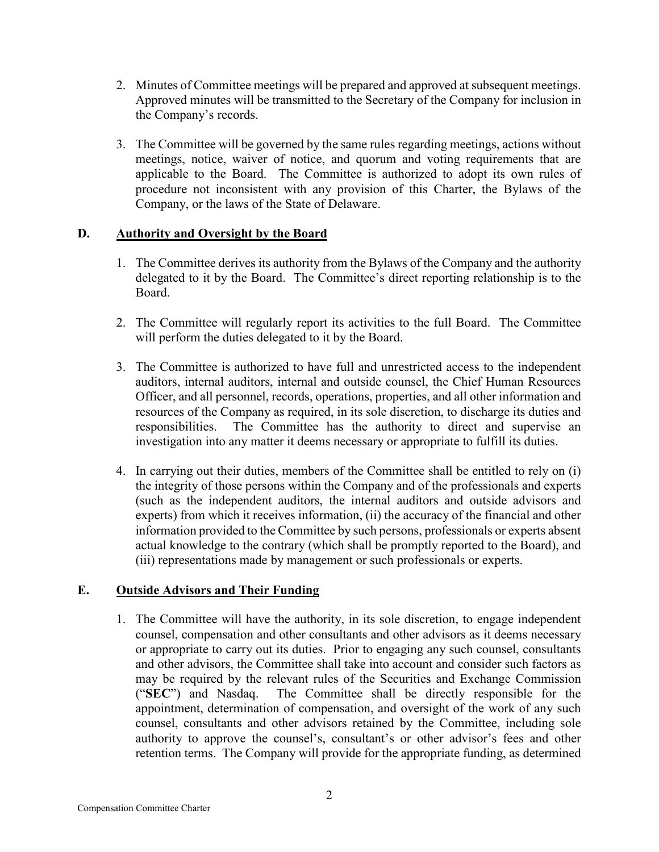- 2. Minutes of Committee meetings will be prepared and approved at subsequent meetings. Approved minutes will be transmitted to the Secretary of the Company for inclusion in the Company's records.
- 3. The Committee will be governed by the same rules regarding meetings, actions without meetings, notice, waiver of notice, and quorum and voting requirements that are applicable to the Board. The Committee is authorized to adopt its own rules of procedure not inconsistent with any provision of this Charter, the Bylaws of the Company, or the laws of the State of Delaware.

## **D. Authority and Oversight by the Board**

- 1. The Committee derives its authority from the Bylaws of the Company and the authority delegated to it by the Board. The Committee's direct reporting relationship is to the Board.
- 2. The Committee will regularly report its activities to the full Board. The Committee will perform the duties delegated to it by the Board.
- 3. The Committee is authorized to have full and unrestricted access to the independent auditors, internal auditors, internal and outside counsel, the Chief Human Resources Officer, and all personnel, records, operations, properties, and all other information and resources of the Company as required, in its sole discretion, to discharge its duties and responsibilities. The Committee has the authority to direct and supervise an investigation into any matter it deems necessary or appropriate to fulfill its duties.
- 4. In carrying out their duties, members of the Committee shall be entitled to rely on (i) the integrity of those persons within the Company and of the professionals and experts (such as the independent auditors, the internal auditors and outside advisors and experts) from which it receives information, (ii) the accuracy of the financial and other information provided to the Committee by such persons, professionals or experts absent actual knowledge to the contrary (which shall be promptly reported to the Board), and (iii) representations made by management or such professionals or experts.

# **E. Outside Advisors and Their Funding**

1. The Committee will have the authority, in its sole discretion, to engage independent counsel, compensation and other consultants and other advisors as it deems necessary or appropriate to carry out its duties. Prior to engaging any such counsel, consultants and other advisors, the Committee shall take into account and consider such factors as may be required by the relevant rules of the Securities and Exchange Commission ("**SEC**") and Nasdaq. The Committee shall be directly responsible for the appointment, determination of compensation, and oversight of the work of any such counsel, consultants and other advisors retained by the Committee, including sole authority to approve the counsel's, consultant's or other advisor's fees and other retention terms. The Company will provide for the appropriate funding, as determined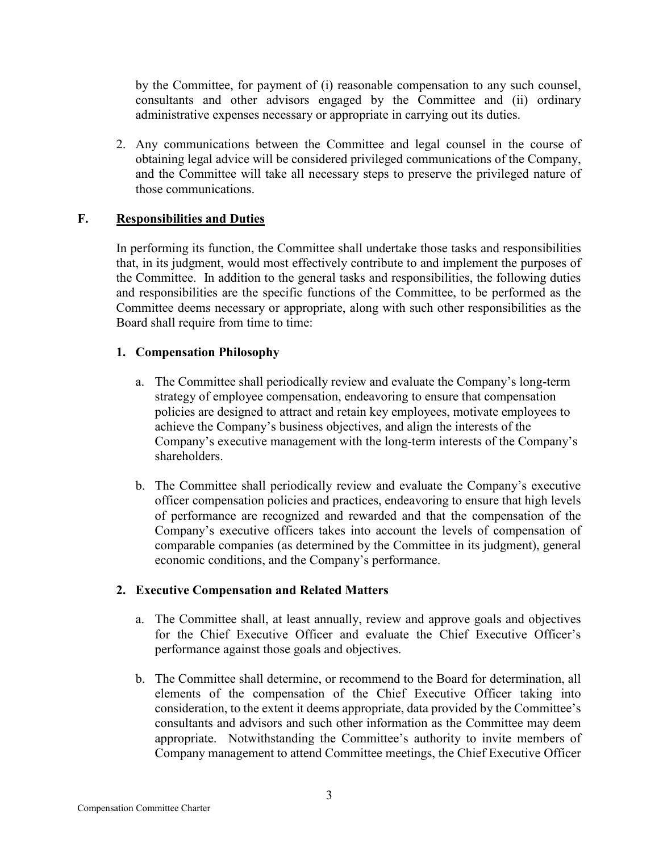by the Committee, for payment of (i) reasonable compensation to any such counsel, consultants and other advisors engaged by the Committee and (ii) ordinary administrative expenses necessary or appropriate in carrying out its duties.

2. Any communications between the Committee and legal counsel in the course of obtaining legal advice will be considered privileged communications of the Company, and the Committee will take all necessary steps to preserve the privileged nature of those communications.

## **F. Responsibilities and Duties**

In performing its function, the Committee shall undertake those tasks and responsibilities that, in its judgment, would most effectively contribute to and implement the purposes of the Committee. In addition to the general tasks and responsibilities, the following duties and responsibilities are the specific functions of the Committee, to be performed as the Committee deems necessary or appropriate, along with such other responsibilities as the Board shall require from time to time:

## **1. Compensation Philosophy**

- a. The Committee shall periodically review and evaluate the Company's long-term strategy of employee compensation, endeavoring to ensure that compensation policies are designed to attract and retain key employees, motivate employees to achieve the Company's business objectives, and align the interests of the Company's executive management with the long-term interests of the Company's shareholders.
- b. The Committee shall periodically review and evaluate the Company's executive officer compensation policies and practices, endeavoring to ensure that high levels of performance are recognized and rewarded and that the compensation of the Company's executive officers takes into account the levels of compensation of comparable companies (as determined by the Committee in its judgment), general economic conditions, and the Company's performance.

# **2. Executive Compensation and Related Matters**

- a. The Committee shall, at least annually, review and approve goals and objectives for the Chief Executive Officer and evaluate the Chief Executive Officer's performance against those goals and objectives.
- b. The Committee shall determine, or recommend to the Board for determination, all elements of the compensation of the Chief Executive Officer taking into consideration, to the extent it deems appropriate, data provided by the Committee's consultants and advisors and such other information as the Committee may deem appropriate. Notwithstanding the Committee's authority to invite members of Company management to attend Committee meetings, the Chief Executive Officer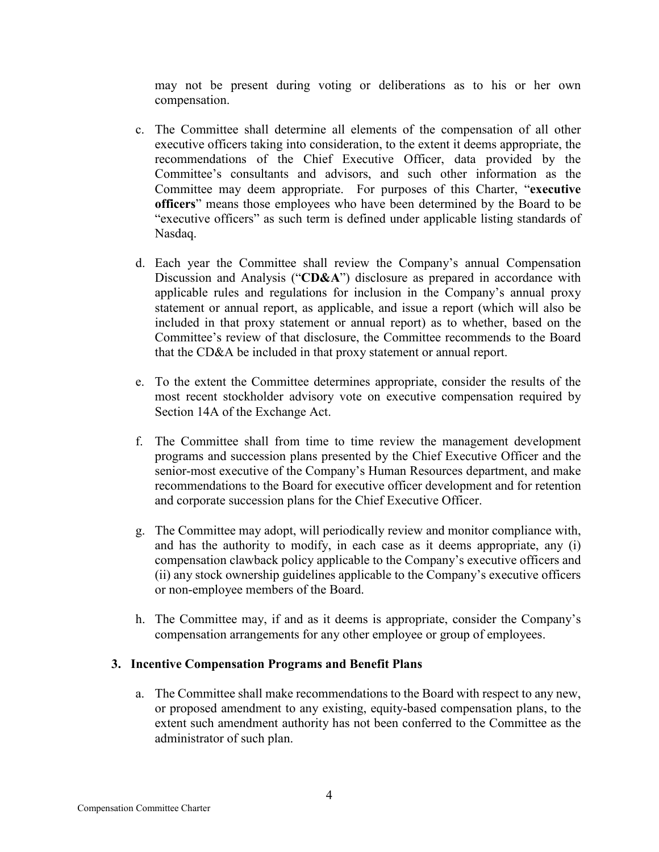may not be present during voting or deliberations as to his or her own compensation.

- c. The Committee shall determine all elements of the compensation of all other executive officers taking into consideration, to the extent it deems appropriate, the recommendations of the Chief Executive Officer, data provided by the Committee's consultants and advisors, and such other information as the Committee may deem appropriate. For purposes of this Charter, "**executive officers**" means those employees who have been determined by the Board to be "executive officers" as such term is defined under applicable listing standards of Nasdaq.
- d. Each year the Committee shall review the Company's annual Compensation Discussion and Analysis ("**CD&A**") disclosure as prepared in accordance with applicable rules and regulations for inclusion in the Company's annual proxy statement or annual report, as applicable, and issue a report (which will also be included in that proxy statement or annual report) as to whether, based on the Committee's review of that disclosure, the Committee recommends to the Board that the CD&A be included in that proxy statement or annual report.
- e. To the extent the Committee determines appropriate, consider the results of the most recent stockholder advisory vote on executive compensation required by Section 14A of the Exchange Act.
- f. The Committee shall from time to time review the management development programs and succession plans presented by the Chief Executive Officer and the senior-most executive of the Company's Human Resources department, and make recommendations to the Board for executive officer development and for retention and corporate succession plans for the Chief Executive Officer.
- g. The Committee may adopt, will periodically review and monitor compliance with, and has the authority to modify, in each case as it deems appropriate, any (i) compensation clawback policy applicable to the Company's executive officers and (ii) any stock ownership guidelines applicable to the Company's executive officers or non-employee members of the Board.
- h. The Committee may, if and as it deems is appropriate, consider the Company's compensation arrangements for any other employee or group of employees.

## **3. Incentive Compensation Programs and Benefit Plans**

a. The Committee shall make recommendations to the Board with respect to any new, or proposed amendment to any existing, equity-based compensation plans, to the extent such amendment authority has not been conferred to the Committee as the administrator of such plan.